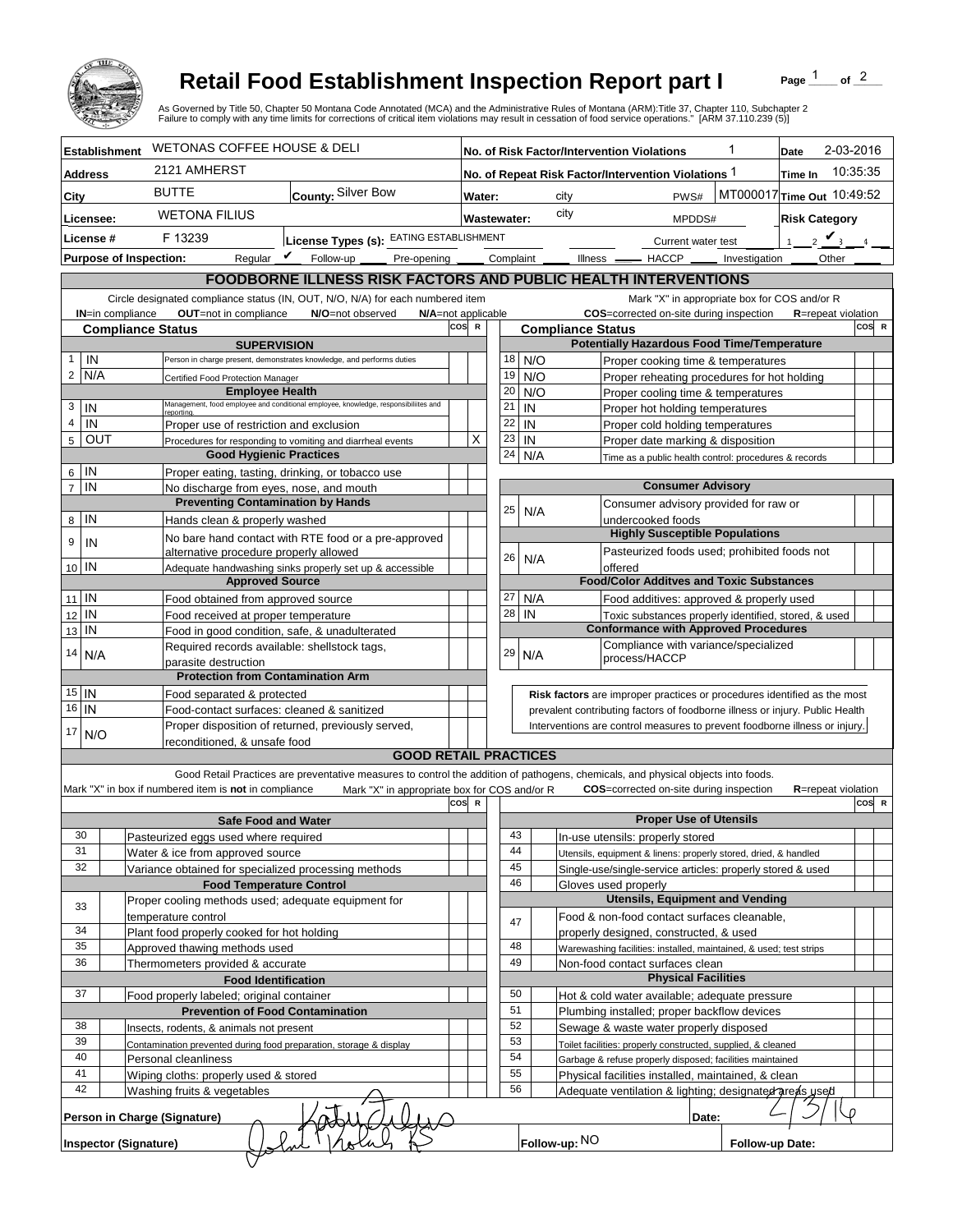

## **Retail Food Establishment Inspection Report part I**

Page  $\frac{1}{1}$  of  $\frac{2}{1}$ 

|                                                                                                                                                                                                                                                                                                                                                   |                                                                                             |                                                                                     |     |              |           |                                             | <b>Retail Food Establishment Inspection Report part I</b><br>of $^2$<br>Page<br>As Governed by Title 50, Chapter 50 Montana Code Annotated (MCA) and the Administrative Rules of Montana (ARM):Title 37, Chapter 110, Subchapter 2<br>Failure to comply with any time limits for corrections of critical item violations may result in cessation of food service operations." [ARM 37.110.239 (5)] |  |  |  |  |  |
|---------------------------------------------------------------------------------------------------------------------------------------------------------------------------------------------------------------------------------------------------------------------------------------------------------------------------------------------------|---------------------------------------------------------------------------------------------|-------------------------------------------------------------------------------------|-----|--------------|-----------|---------------------------------------------|----------------------------------------------------------------------------------------------------------------------------------------------------------------------------------------------------------------------------------------------------------------------------------------------------------------------------------------------------------------------------------------------------|--|--|--|--|--|
| <b>Establishment</b>                                                                                                                                                                                                                                                                                                                              | <b>WETONAS COFFEE HOUSE &amp; DELI</b>                                                      |                                                                                     |     |              |           |                                             | 2-03-2016<br>No. of Risk Factor/Intervention Violations<br>Date                                                                                                                                                                                                                                                                                                                                    |  |  |  |  |  |
| <b>Address</b>                                                                                                                                                                                                                                                                                                                                    | 2121 AMHERST                                                                                |                                                                                     |     |              |           |                                             | 10:35:35<br>No. of Repeat Risk Factor/Intervention Violations 1<br>Time In                                                                                                                                                                                                                                                                                                                         |  |  |  |  |  |
| City                                                                                                                                                                                                                                                                                                                                              | <b>BUTTE</b><br>County: Silver Bow                                                          |                                                                                     |     | Water:       |           |                                             | MT000017 Time Out 10:49:52<br>PWS#<br>city                                                                                                                                                                                                                                                                                                                                                         |  |  |  |  |  |
|                                                                                                                                                                                                                                                                                                                                                   |                                                                                             |                                                                                     |     |              |           |                                             | city                                                                                                                                                                                                                                                                                                                                                                                               |  |  |  |  |  |
| Licensee:                                                                                                                                                                                                                                                                                                                                         | <b>WETONA FILIUS</b>                                                                        |                                                                                     |     | Wastewater:  |           |                                             | <b>Risk Category</b><br>MPDDS#                                                                                                                                                                                                                                                                                                                                                                     |  |  |  |  |  |
| License #                                                                                                                                                                                                                                                                                                                                         | License Types (s): EATING ESTABLISHMENT<br>F 13239                                          |                                                                                     |     |              |           |                                             | $2 \mathbf{V}$<br>1<br>Current water test                                                                                                                                                                                                                                                                                                                                                          |  |  |  |  |  |
| <b>Purpose of Inspection:</b>                                                                                                                                                                                                                                                                                                                     |                                                                                             | Regular $\triangledown$ Follow-up<br>Pre-opening _                                  |     |              | Complaint |                                             | Other<br>Illness —<br>$-$ HACCP $\_\_$<br>Investigation                                                                                                                                                                                                                                                                                                                                            |  |  |  |  |  |
|                                                                                                                                                                                                                                                                                                                                                   |                                                                                             |                                                                                     |     |              |           |                                             | <b>FOODBORNE ILLNESS RISK FACTORS AND PUBLIC HEALTH INTERVENTIONS</b>                                                                                                                                                                                                                                                                                                                              |  |  |  |  |  |
|                                                                                                                                                                                                                                                                                                                                                   |                                                                                             | Circle designated compliance status (IN, OUT, N/O, N/A) for each numbered item      |     |              |           |                                             | Mark "X" in appropriate box for COS and/or R                                                                                                                                                                                                                                                                                                                                                       |  |  |  |  |  |
| <b>IN=in compliance</b>                                                                                                                                                                                                                                                                                                                           | OUT=not in compliance                                                                       | N/O=not observed<br>N/A=not applicable                                              |     |              |           |                                             | COS=corrected on-site during inspection<br><b>R</b> =repeat violation                                                                                                                                                                                                                                                                                                                              |  |  |  |  |  |
| <b>Compliance Status</b>                                                                                                                                                                                                                                                                                                                          |                                                                                             |                                                                                     | cos | $\mathbb{R}$ |           |                                             | COS R<br><b>Compliance Status</b>                                                                                                                                                                                                                                                                                                                                                                  |  |  |  |  |  |
| IN<br>$\mathbf{1}$                                                                                                                                                                                                                                                                                                                                | <b>SUPERVISION</b><br>Person in charge present, demonstrates knowledge, and performs duties |                                                                                     |     |              | 18        |                                             | <b>Potentially Hazardous Food Time/Temperature</b><br>N/O                                                                                                                                                                                                                                                                                                                                          |  |  |  |  |  |
| $\overline{2}$<br>N/A                                                                                                                                                                                                                                                                                                                             |                                                                                             | Certified Food Protection Manager                                                   |     |              | 19        |                                             | Proper cooking time & temperatures<br>N/O<br>Proper reheating procedures for hot holding                                                                                                                                                                                                                                                                                                           |  |  |  |  |  |
|                                                                                                                                                                                                                                                                                                                                                   | <b>Employee Health</b>                                                                      |                                                                                     |     |              | 20        |                                             | N/O<br>Proper cooling time & temperatures                                                                                                                                                                                                                                                                                                                                                          |  |  |  |  |  |
| 3<br>IN                                                                                                                                                                                                                                                                                                                                           |                                                                                             | Management, food employee and conditional employee, knowledge, responsibiliites and |     |              | 21        | IN                                          | Proper hot holding temperatures                                                                                                                                                                                                                                                                                                                                                                    |  |  |  |  |  |
| $\overline{4}$<br>IN                                                                                                                                                                                                                                                                                                                              |                                                                                             | reportina.<br>Proper use of restriction and exclusion                               |     |              | 22        | IN                                          | Proper cold holding temperatures                                                                                                                                                                                                                                                                                                                                                                   |  |  |  |  |  |
| $5\overline{)}$<br>OUT                                                                                                                                                                                                                                                                                                                            |                                                                                             | Procedures for responding to vomiting and diarrheal events                          |     |              | 23        | IN                                          | Proper date marking & disposition                                                                                                                                                                                                                                                                                                                                                                  |  |  |  |  |  |
|                                                                                                                                                                                                                                                                                                                                                   | <b>Good Hygienic Practices</b>                                                              |                                                                                     |     |              | 24        |                                             | N/A<br>Time as a public health control: procedures & records                                                                                                                                                                                                                                                                                                                                       |  |  |  |  |  |
| IN<br>6                                                                                                                                                                                                                                                                                                                                           |                                                                                             | Proper eating, tasting, drinking, or tobacco use                                    |     |              |           |                                             |                                                                                                                                                                                                                                                                                                                                                                                                    |  |  |  |  |  |
| $\overline{7}$<br>IN                                                                                                                                                                                                                                                                                                                              | No discharge from eyes, nose, and mouth                                                     |                                                                                     |     |              |           |                                             | <b>Consumer Advisory</b>                                                                                                                                                                                                                                                                                                                                                                           |  |  |  |  |  |
|                                                                                                                                                                                                                                                                                                                                                   | <b>Preventing Contamination by Hands</b>                                                    |                                                                                     |     |              | 25        |                                             | Consumer advisory provided for raw or<br>N/A                                                                                                                                                                                                                                                                                                                                                       |  |  |  |  |  |
| IN<br>8                                                                                                                                                                                                                                                                                                                                           | Hands clean & properly washed                                                               |                                                                                     |     |              |           |                                             | undercooked foods<br><b>Highly Susceptible Populations</b>                                                                                                                                                                                                                                                                                                                                         |  |  |  |  |  |
| 9<br>IN                                                                                                                                                                                                                                                                                                                                           |                                                                                             | No bare hand contact with RTE food or a pre-approved                                |     |              |           |                                             |                                                                                                                                                                                                                                                                                                                                                                                                    |  |  |  |  |  |
| 10 IN                                                                                                                                                                                                                                                                                                                                             | alternative procedure properly allowed                                                      | Adequate handwashing sinks properly set up & accessible                             |     |              | 26        |                                             | Pasteurized foods used; prohibited foods not<br>N/A<br>offered                                                                                                                                                                                                                                                                                                                                     |  |  |  |  |  |
|                                                                                                                                                                                                                                                                                                                                                   | <b>Approved Source</b>                                                                      |                                                                                     |     |              |           |                                             | <b>Food/Color Additves and Toxic Substances</b>                                                                                                                                                                                                                                                                                                                                                    |  |  |  |  |  |
| $11$ IN                                                                                                                                                                                                                                                                                                                                           | Food obtained from approved source                                                          |                                                                                     |     |              | 27        |                                             | N/A<br>Food additives: approved & properly used                                                                                                                                                                                                                                                                                                                                                    |  |  |  |  |  |
| IN<br>12                                                                                                                                                                                                                                                                                                                                          | Food received at proper temperature                                                         |                                                                                     |     |              | 28        | IN                                          | Toxic substances properly identified, stored, & used                                                                                                                                                                                                                                                                                                                                               |  |  |  |  |  |
| IN<br>13                                                                                                                                                                                                                                                                                                                                          |                                                                                             | Food in good condition, safe, & unadulterated                                       |     |              |           |                                             | <b>Conformance with Approved Procedures</b>                                                                                                                                                                                                                                                                                                                                                        |  |  |  |  |  |
| 14<br>N/A                                                                                                                                                                                                                                                                                                                                         | Required records available: shellstock tags,                                                |                                                                                     |     |              | 29        |                                             | Compliance with variance/specialized<br>N/A                                                                                                                                                                                                                                                                                                                                                        |  |  |  |  |  |
|                                                                                                                                                                                                                                                                                                                                                   | parasite destruction                                                                        |                                                                                     |     |              |           |                                             | process/HACCP                                                                                                                                                                                                                                                                                                                                                                                      |  |  |  |  |  |
|                                                                                                                                                                                                                                                                                                                                                   | <b>Protection from Contamination Arm</b>                                                    |                                                                                     |     |              |           |                                             |                                                                                                                                                                                                                                                                                                                                                                                                    |  |  |  |  |  |
| $15$ IN<br>$\overline{16}$ IN                                                                                                                                                                                                                                                                                                                     | Food separated & protected                                                                  |                                                                                     |     |              |           |                                             | Risk factors are improper practices or procedures identified as the most                                                                                                                                                                                                                                                                                                                           |  |  |  |  |  |
|                                                                                                                                                                                                                                                                                                                                                   | Food-contact surfaces: cleaned & sanitized                                                  |                                                                                     |     |              |           |                                             | prevalent contributing factors of foodborne illness or injury. Public Health<br>Interventions are control measures to prevent foodborne illness or injury.                                                                                                                                                                                                                                         |  |  |  |  |  |
| 17<br>N/O                                                                                                                                                                                                                                                                                                                                         | Proper disposition of returned, previously served,<br>reconditioned. & unsafe food          |                                                                                     |     |              |           |                                             |                                                                                                                                                                                                                                                                                                                                                                                                    |  |  |  |  |  |
|                                                                                                                                                                                                                                                                                                                                                   |                                                                                             | <b>GOOD RETAIL PRACTICES</b>                                                        |     |              |           |                                             |                                                                                                                                                                                                                                                                                                                                                                                                    |  |  |  |  |  |
| Good Retail Practices are preventative measures to control the addition of pathogens, chemicals, and physical objects into foods.<br>Mark "X" in box if numbered item is not in compliance<br>Mark "X" in appropriate box for COS and/or R<br><b>COS</b> =corrected on-site during inspection<br><b>R</b> =repeat violation<br>cosl<br>COS R<br>R |                                                                                             |                                                                                     |     |              |           |                                             |                                                                                                                                                                                                                                                                                                                                                                                                    |  |  |  |  |  |
|                                                                                                                                                                                                                                                                                                                                                   | <b>Safe Food and Water</b>                                                                  |                                                                                     |     |              |           |                                             | <b>Proper Use of Utensils</b>                                                                                                                                                                                                                                                                                                                                                                      |  |  |  |  |  |
| 30<br>31                                                                                                                                                                                                                                                                                                                                          | Pasteurized eggs used where required                                                        |                                                                                     |     |              | 43<br>44  |                                             | In-use utensils: properly stored                                                                                                                                                                                                                                                                                                                                                                   |  |  |  |  |  |
| 32                                                                                                                                                                                                                                                                                                                                                | Water & ice from approved source                                                            |                                                                                     |     |              | 45        |                                             | Utensils, equipment & linens: properly stored, dried, & handled                                                                                                                                                                                                                                                                                                                                    |  |  |  |  |  |
|                                                                                                                                                                                                                                                                                                                                                   | Variance obtained for specialized processing methods<br><b>Food Temperature Control</b>     |                                                                                     |     |              | 46        |                                             | Single-use/single-service articles: properly stored & used<br>Gloves used properly                                                                                                                                                                                                                                                                                                                 |  |  |  |  |  |
|                                                                                                                                                                                                                                                                                                                                                   | Proper cooling methods used; adequate equipment for                                         |                                                                                     |     |              |           |                                             | <b>Utensils, Equipment and Vending</b>                                                                                                                                                                                                                                                                                                                                                             |  |  |  |  |  |
| 33                                                                                                                                                                                                                                                                                                                                                | temperature control                                                                         |                                                                                     |     |              |           |                                             | Food & non-food contact surfaces cleanable,                                                                                                                                                                                                                                                                                                                                                        |  |  |  |  |  |
| 34                                                                                                                                                                                                                                                                                                                                                | Plant food properly cooked for hot holding                                                  |                                                                                     |     |              | 47        |                                             | properly designed, constructed, & used                                                                                                                                                                                                                                                                                                                                                             |  |  |  |  |  |
| 35                                                                                                                                                                                                                                                                                                                                                | Approved thawing methods used                                                               |                                                                                     |     |              | 48        |                                             | Warewashing facilities: installed, maintained, & used; test strips                                                                                                                                                                                                                                                                                                                                 |  |  |  |  |  |
| 36                                                                                                                                                                                                                                                                                                                                                | Thermometers provided & accurate                                                            |                                                                                     |     |              | 49        |                                             | Non-food contact surfaces clean                                                                                                                                                                                                                                                                                                                                                                    |  |  |  |  |  |
|                                                                                                                                                                                                                                                                                                                                                   | <b>Food Identification</b>                                                                  |                                                                                     |     |              |           |                                             | <b>Physical Facilities</b>                                                                                                                                                                                                                                                                                                                                                                         |  |  |  |  |  |
| 37                                                                                                                                                                                                                                                                                                                                                |                                                                                             | Food properly labeled; original container                                           |     |              | 50        |                                             | Hot & cold water available; adequate pressure                                                                                                                                                                                                                                                                                                                                                      |  |  |  |  |  |
|                                                                                                                                                                                                                                                                                                                                                   | <b>Prevention of Food Contamination</b>                                                     |                                                                                     |     |              | 51        | Plumbing installed; proper backflow devices |                                                                                                                                                                                                                                                                                                                                                                                                    |  |  |  |  |  |
| 38                                                                                                                                                                                                                                                                                                                                                | Insects, rodents, & animals not present                                                     |                                                                                     |     |              | 52        | Sewage & waste water properly disposed      |                                                                                                                                                                                                                                                                                                                                                                                                    |  |  |  |  |  |
| 39                                                                                                                                                                                                                                                                                                                                                | Contamination prevented during food preparation, storage & display                          |                                                                                     |     |              | 53        |                                             | Toilet facilities: properly constructed, supplied, & cleaned                                                                                                                                                                                                                                                                                                                                       |  |  |  |  |  |
| 40                                                                                                                                                                                                                                                                                                                                                | Personal cleanliness                                                                        |                                                                                     |     |              | 54        |                                             | Garbage & refuse properly disposed; facilities maintained                                                                                                                                                                                                                                                                                                                                          |  |  |  |  |  |
| 41<br>42                                                                                                                                                                                                                                                                                                                                          | Wiping cloths: properly used & stored                                                       |                                                                                     |     |              | 55<br>56  |                                             | Physical facilities installed, maintained, & clean                                                                                                                                                                                                                                                                                                                                                 |  |  |  |  |  |
|                                                                                                                                                                                                                                                                                                                                                   | Washing fruits & vegetables                                                                 |                                                                                     |     |              |           |                                             | Adequate ventilation & lighting; designated areas used                                                                                                                                                                                                                                                                                                                                             |  |  |  |  |  |
| $\Omega$<br>Person in Charge (Signature)<br>Date:                                                                                                                                                                                                                                                                                                 |                                                                                             |                                                                                     |     |              |           |                                             |                                                                                                                                                                                                                                                                                                                                                                                                    |  |  |  |  |  |
| <b>Inspector (Signature)</b>                                                                                                                                                                                                                                                                                                                      |                                                                                             |                                                                                     |     |              |           |                                             | Follow-up: NO<br>Follow-up Date:                                                                                                                                                                                                                                                                                                                                                                   |  |  |  |  |  |